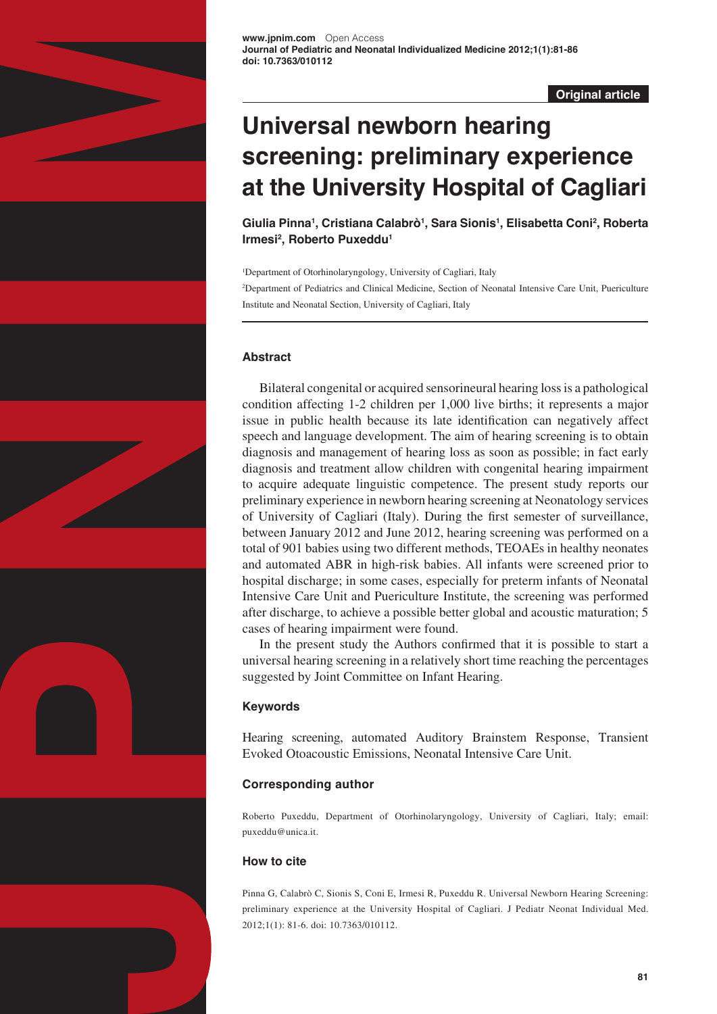

**Original article**

# **Universal newborn hearing screening: preliminary experience at the University Hospital of Cagliari**

**Giulia Pinna1 , Cristiana Calabrò1 , Sara Sionis1 , Elisabetta Coni2 , Roberta Irmesi2 , Roberto Puxeddu1**

1 Department of Otorhinolaryngology, University of Cagliari, Italy 2 Department of Pediatrics and Clinical Medicine, Section of Neonatal Intensive Care Unit, Puericulture Institute and Neonatal Section, University of Cagliari, Italy

## **Abstract**

Bilateral congenital or acquired sensorineural hearing loss is a pathological condition affecting 1-2 children per 1,000 live births; it represents a major issue in public health because its late identification can negatively affect speech and language development. The aim of hearing screening is to obtain diagnosis and management of hearing loss as soon as possible; in fact early diagnosis and treatment allow children with congenital hearing impairment to acquire adequate linguistic competence. The present study reports our preliminary experience in newborn hearing screening at Neonatology services of University of Cagliari (Italy). During the first semester of surveillance, between January 2012 and June 2012, hearing screening was performed on a total of 901 babies using two different methods, TEOAEs in healthy neonates and automated ABR in high-risk babies. All infants were screened prior to hospital discharge; in some cases, especially for preterm infants of Neonatal Intensive Care Unit and Puericulture Institute, the screening was performed after discharge, to achieve a possible better global and acoustic maturation; 5 cases of hearing impairment were found.

In the present study the Authors confirmed that it is possible to start a universal hearing screening in a relatively short time reaching the percentages suggested by Joint Committee on Infant Hearing.

## **Keywords**

Hearing screening, automated Auditory Brainstem Response, Transient Evoked Otoacoustic Emissions, Neonatal Intensive Care Unit.

## **Corresponding author**

Roberto Puxeddu, Department of Otorhinolaryngology, University of Cagliari, Italy; email: [puxeddu@unica.it.](mailto:puxeddu@unica.it)

## **How to cite**

Pinna G, Calabrò C, Sionis S, Coni E, Irmesi R, Puxeddu R. Universal Newborn Hearing Screening: preliminary experience at the University Hospital of Cagliari. J Pediatr Neonat Individual Med. 2012;1(1): 81-6. doi: 10.7363/010112.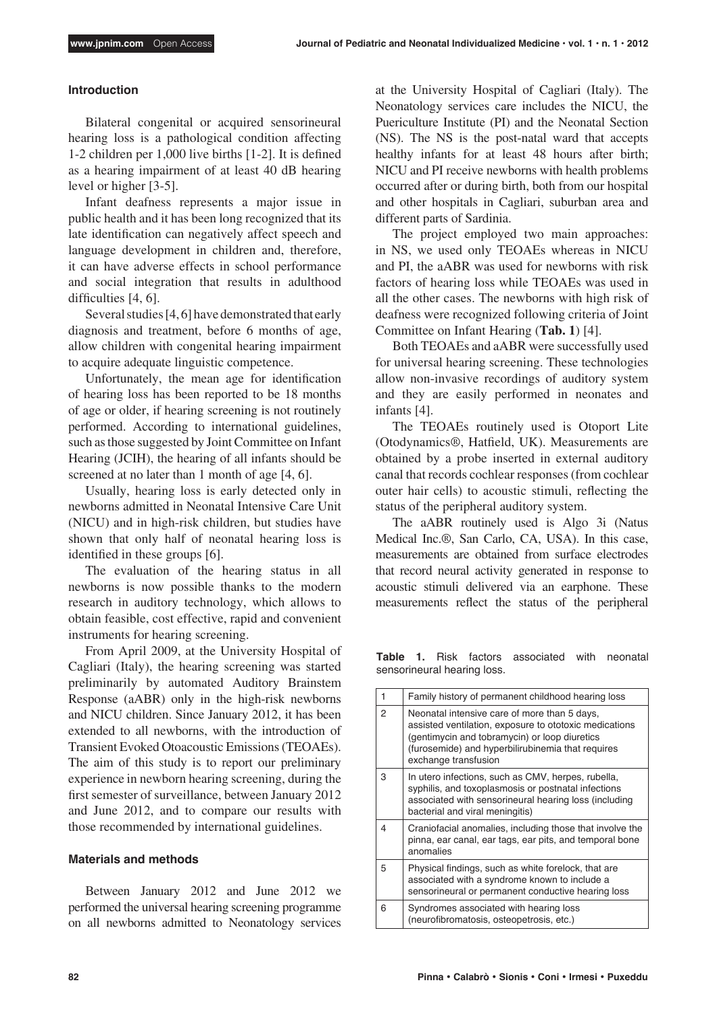#### **Introduction**

Bilateral congenital or acquired sensorineural hearing loss is a pathological condition affecting 1-2 children per 1,000 live births [1-2]. It is defined as a hearing impairment of at least 40 dB hearing level or higher [3-5].

Infant deafness represents a major issue in public health and it has been long recognized that its late identification can negatively affect speech and language development in children and, therefore, it can have adverse effects in school performance and social integration that results in adulthood difficulties [4, 6].

Several studies [4, 6] have demonstrated that early diagnosis and treatment, before 6 months of age, allow children with congenital hearing impairment to acquire adequate linguistic competence.

Unfortunately, the mean age for identification of hearing loss has been reported to be 18 months of age or older, if hearing screening is not routinely performed. According to international guidelines, such as those suggested by Joint Committee on Infant Hearing (JCIH), the hearing of all infants should be screened at no later than 1 month of age [4, 6].

Usually, hearing loss is early detected only in newborns admitted in Neonatal Intensive Care Unit (NICU) and in high-risk children, but studies have shown that only half of neonatal hearing loss is identified in these groups [6].

The evaluation of the hearing status in all newborns is now possible thanks to the modern research in auditory technology, which allows to obtain feasible, cost effective, rapid and convenient instruments for hearing screening.

From April 2009, at the University Hospital of Cagliari (Italy), the hearing screening was started preliminarily by automated Auditory Brainstem Response (aABR) only in the high-risk newborns and NICU children. Since January 2012, it has been extended to all newborns, with the introduction of Transient Evoked Otoacoustic Emissions (TEOAEs). The aim of this study is to report our preliminary experience in newborn hearing screening, during the first semester of surveillance, between January 2012 and June 2012, and to compare our results with those recommended by international guidelines.

#### **Materials and methods**

Between January 2012 and June 2012 we performed the universal hearing screening programme on all newborns admitted to Neonatology services at the University Hospital of Cagliari (Italy). The Neonatology services care includes the NICU, the Puericulture Institute (PI) and the Neonatal Section (NS). The NS is the post-natal ward that accepts healthy infants for at least 48 hours after birth; NICU and PI receive newborns with health problems occurred after or during birth, both from our hospital and other hospitals in Cagliari, suburban area and different parts of Sardinia.

The project employed two main approaches: in NS, we used only TEOAEs whereas in NICU and PI, the aABR was used for newborns with risk factors of hearing loss while TEOAEs was used in all the other cases. The newborns with high risk of deafness were recognized following criteria of Joint Committee on Infant Hearing (**Tab. 1**) [4].

Both TEOAEs and aABR were successfully used for universal hearing screening. These technologies allow non-invasive recordings of auditory system and they are easily performed in neonates and infants [4].

The TEOAEs routinely used is Otoport Lite (Otodynamics®, Hatfield, UK). Measurements are obtained by a probe inserted in external auditory canal that records cochlear responses (from cochlear outer hair cells) to acoustic stimuli, reflecting the status of the peripheral auditory system.

The aABR routinely used is Algo 3i (Natus Medical Inc.®, San Carlo, CA, USA). In this case, measurements are obtained from surface electrodes that record neural activity generated in response to acoustic stimuli delivered via an earphone. These measurements reflect the status of the peripheral

**Table 1.** Risk factors associated with neonatal sensorineural hearing loss.

| 1 | Family history of permanent childhood hearing loss                                                                                                                                                                                   |
|---|--------------------------------------------------------------------------------------------------------------------------------------------------------------------------------------------------------------------------------------|
| 2 | Neonatal intensive care of more than 5 days,<br>assisted ventilation, exposure to ototoxic medications<br>(gentimycin and tobramycin) or loop diuretics<br>(furosemide) and hyperbilirubinemia that requires<br>exchange transfusion |
| 3 | In utero infections, such as CMV, herpes, rubella,<br>syphilis, and toxoplasmosis or postnatal infections<br>associated with sensorineural hearing loss (including<br>bacterial and viral meningitis)                                |
| 4 | Craniofacial anomalies, including those that involve the<br>pinna, ear canal, ear tags, ear pits, and temporal bone<br>anomalies                                                                                                     |
| 5 | Physical findings, such as white forelock, that are<br>associated with a syndrome known to include a<br>sensorineural or permanent conductive hearing loss                                                                           |
| 6 | Syndromes associated with hearing loss<br>(neurofibromatosis, osteopetrosis, etc.)                                                                                                                                                   |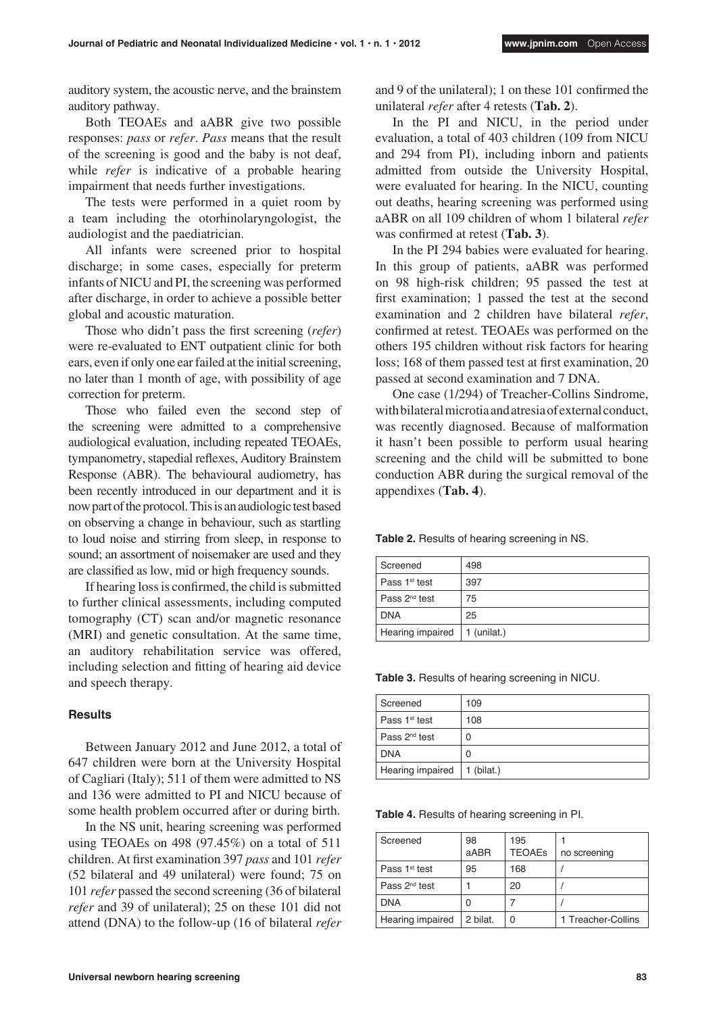auditory system, the acoustic nerve, and the brainstem auditory pathway.

Both TEOAEs and aABR give two possible responses: *pass* or *refer*. *Pass* means that the result of the screening is good and the baby is not deaf, while *refer* is indicative of a probable hearing impairment that needs further investigations.

The tests were performed in a quiet room by a team including the otorhinolaryngologist, the audiologist and the paediatrician.

All infants were screened prior to hospital discharge; in some cases, especially for preterm infants of NICU and PI, the screening was performed after discharge, in order to achieve a possible better global and acoustic maturation.

Those who didn't pass the first screening (*refer*) were re-evaluated to ENT outpatient clinic for both ears, even if only one ear failed at the initial screening, no later than 1 month of age, with possibility of age correction for preterm.

Those who failed even the second step of the screening were admitted to a comprehensive audiological evaluation, including repeated TEOAEs, tympanometry, stapedial reflexes, Auditory Brainstem Response (ABR). The behavioural audiometry, has been recently introduced in our department and it is now part of the protocol. This is an audiologic test based on observing a change in behaviour, such as startling to loud noise and stirring from sleep, in response to sound; an assortment of noisemaker are used and they are classified as low, mid or high frequency sounds.

If hearing loss is confirmed, the child is submitted to further clinical assessments, including computed tomography (CT) scan and/or magnetic resonance (MRI) and genetic consultation. At the same time, an auditory rehabilitation service was offered, including selection and fitting of hearing aid device and speech therapy.

#### **Results**

Between January 2012 and June 2012, a total of 647 children were born at the University Hospital of Cagliari (Italy); 511 of them were admitted to NS and 136 were admitted to PI and NICU because of some health problem occurred after or during birth.

In the NS unit, hearing screening was performed using TEOAEs on 498 (97.45%) on a total of 511 children. At first examination 397 *pass* and 101 *refer* (52 bilateral and 49 unilateral) were found; 75 on 101 *refer* passed the second screening (36 of bilateral *refer* and 39 of unilateral); 25 on these 101 did not attend (DNA) to the follow-up (16 of bilateral *refer*

and 9 of the unilateral); 1 on these 101 confirmed the unilateral *refer* after 4 retests (**Tab. 2**).

In the PI and NICU, in the period under evaluation, a total of 403 children (109 from NICU and 294 from PI), including inborn and patients admitted from outside the University Hospital, were evaluated for hearing. In the NICU, counting out deaths, hearing screening was performed using aABR on all 109 children of whom 1 bilateral *refer* was confirmed at retest (**Tab. 3**).

In the PI 294 babies were evaluated for hearing. In this group of patients, aABR was performed on 98 high-risk children; 95 passed the test at first examination; 1 passed the test at the second examination and 2 children have bilateral *refer*, confirmed at retest. TEOAEs was performed on the others 195 children without risk factors for hearing loss; 168 of them passed test at first examination, 20 passed at second examination and 7 DNA.

One case (1/294) of Treacher-Collins Sindrome, with bilateral microtia and atresia of external conduct, was recently diagnosed. Because of malformation it hasn't been possible to perform usual hearing screening and the child will be submitted to bone conduction ABR during the surgical removal of the appendixes (**Tab. 4**).

**Table 2.** Results of hearing screening in NS.

| Screened                  | 498           |
|---------------------------|---------------|
| Pass 1 <sup>st</sup> test | 397           |
| Pass 2 <sup>nd</sup> test | 75            |
| <b>DNA</b>                | 25            |
| Hearing impaired          | $1$ (unilat.) |

**Table 3.** Results of hearing screening in NICU.

| Screened                  | 109          |
|---------------------------|--------------|
| Pass 1 <sup>st</sup> test | 108          |
| Pass 2 <sup>nd</sup> test | 0            |
| <b>DNA</b>                | O            |
| Hearing impaired          | $1$ (bilat.) |

**Table 4.** Results of hearing screening in PI.

| Screened                  | 98<br>aABR | 195<br><b>TEOAEs</b> | no screening       |
|---------------------------|------------|----------------------|--------------------|
| Pass 1 <sup>st</sup> test | 95         | 168                  |                    |
| Pass 2 <sup>nd</sup> test |            | 20                   |                    |
| <b>DNA</b>                |            |                      |                    |
| Hearing impaired          | 2 bilat.   | 0                    | 1 Treacher-Collins |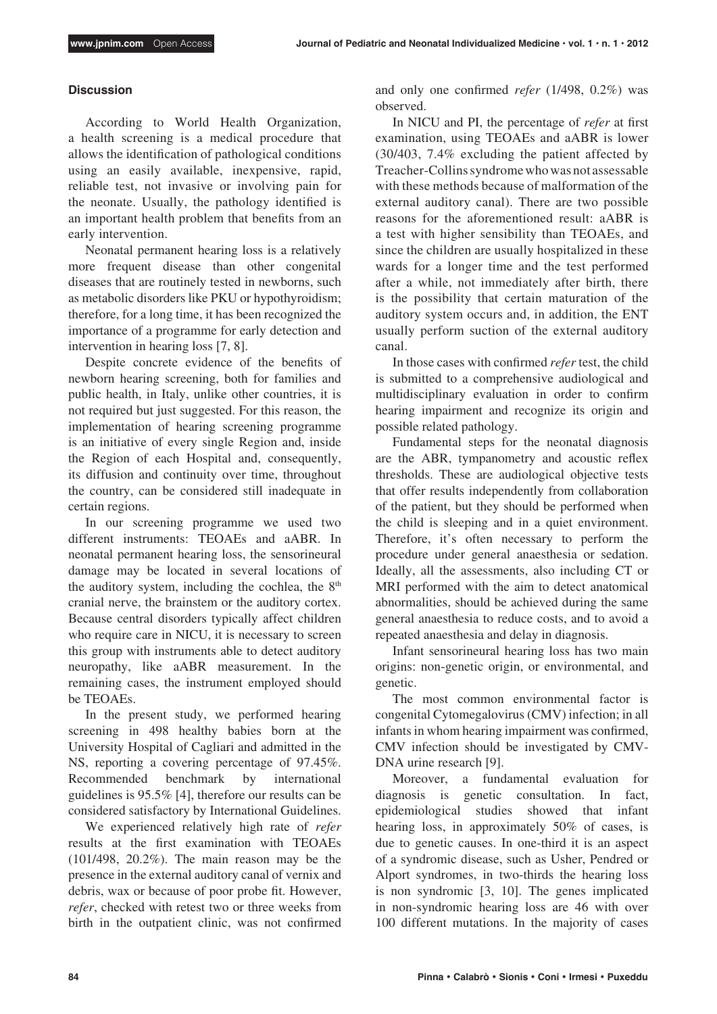#### **Discussion**

According to World Health Organization, a health screening is a medical procedure that allows the identification of pathological conditions using an easily available, inexpensive, rapid, reliable test, not invasive or involving pain for the neonate. Usually, the pathology identified is an important health problem that benefits from an early intervention.

Neonatal permanent hearing loss is a relatively more frequent disease than other congenital diseases that are routinely tested in newborns, such as metabolic disorders like PKU or hypothyroidism; therefore, for a long time, it has been recognized the importance of a programme for early detection and intervention in hearing loss [7, 8].

Despite concrete evidence of the benefits of newborn hearing screening, both for families and public health, in Italy, unlike other countries, it is not required but just suggested. For this reason, the implementation of hearing screening programme is an initiative of every single Region and, inside the Region of each Hospital and, consequently, its diffusion and continuity over time, throughout the country, can be considered still inadequate in certain regions.

In our screening programme we used two different instruments: TEOAEs and aABR. In neonatal permanent hearing loss, the sensorineural damage may be located in several locations of the auditory system, including the cochlea, the  $8<sup>th</sup>$ cranial nerve, the brainstem or the auditory cortex. Because central disorders typically affect children who require care in NICU, it is necessary to screen this group with instruments able to detect auditory neuropathy, like aABR measurement. In the remaining cases, the instrument employed should be TEOAEs.

In the present study, we performed hearing screening in 498 healthy babies born at the University Hospital of Cagliari and admitted in the NS, reporting a covering percentage of 97.45%. Recommended benchmark by international guidelines is 95.5% [4], therefore our results can be considered satisfactory by International Guidelines.

We experienced relatively high rate of *refer* results at the first examination with TEOAEs (101/498, 20.2%). The main reason may be the presence in the external auditory canal of vernix and debris, wax or because of poor probe fit. However, *refer*, checked with retest two or three weeks from birth in the outpatient clinic, was not confirmed and only one confirmed *refer* (1/498, 0.2%) was observed.

In NICU and PI, the percentage of *refer* at first examination, using TEOAEs and aABR is lower (30/403, 7.4% excluding the patient affected by Treacher-Collins syndrome who was not assessable with these methods because of malformation of the external auditory canal). There are two possible reasons for the aforementioned result: aABR is a test with higher sensibility than TEOAEs, and since the children are usually hospitalized in these wards for a longer time and the test performed after a while, not immediately after birth, there is the possibility that certain maturation of the auditory system occurs and, in addition, the ENT usually perform suction of the external auditory canal.

In those cases with confirmed *refer* test, the child is submitted to a comprehensive audiological and multidisciplinary evaluation in order to confirm hearing impairment and recognize its origin and possible related pathology.

Fundamental steps for the neonatal diagnosis are the ABR, tympanometry and acoustic reflex thresholds. These are audiological objective tests that offer results independently from collaboration of the patient, but they should be performed when the child is sleeping and in a quiet environment. Therefore, it's often necessary to perform the procedure under general anaesthesia or sedation. Ideally, all the assessments, also including CT or MRI performed with the aim to detect anatomical abnormalities, should be achieved during the same general anaesthesia to reduce costs, and to avoid a repeated anaesthesia and delay in diagnosis.

Infant sensorineural hearing loss has two main origins: non-genetic origin, or environmental, and genetic.

The most common environmental factor is congenital Cytomegalovirus (CMV) infection; in all infants in whom hearing impairment was confirmed, CMV infection should be investigated by CMV-DNA urine research [9].

Moreover, a fundamental evaluation for diagnosis is genetic consultation. In fact, epidemiological studies showed that infant hearing loss, in approximately 50% of cases, is due to genetic causes. In one-third it is an aspect of a syndromic disease, such as Usher, Pendred or Alport syndromes, in two-thirds the hearing loss is non syndromic [3, 10]. The genes implicated in non-syndromic hearing loss are 46 with over 100 different mutations. In the majority of cases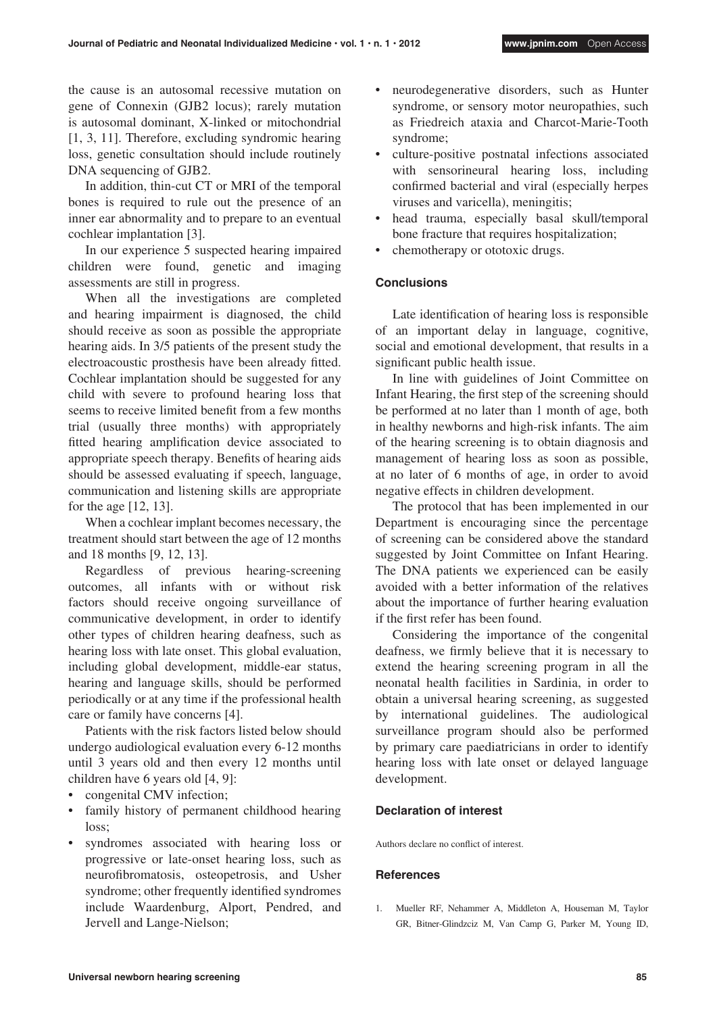the cause is an autosomal recessive mutation on gene of Connexin (GJB2 locus); rarely mutation is autosomal dominant, X-linked or mitochondrial [1, 3, 11]. Therefore, excluding syndromic hearing loss, genetic consultation should include routinely DNA sequencing of GJB2.

In addition, thin-cut CT or MRI of the temporal bones is required to rule out the presence of an inner ear abnormality and to prepare to an eventual cochlear implantation [3].

In our experience 5 suspected hearing impaired children were found, genetic and imaging assessments are still in progress.

When all the investigations are completed and hearing impairment is diagnosed, the child should receive as soon as possible the appropriate hearing aids. In 3/5 patients of the present study the electroacoustic prosthesis have been already fitted. Cochlear implantation should be suggested for any child with severe to profound hearing loss that seems to receive limited benefit from a few months trial (usually three months) with appropriately fitted hearing amplification device associated to appropriate speech therapy. Benefits of hearing aids should be assessed evaluating if speech, language, communication and listening skills are appropriate for the age [12, 13].

When a cochlear implant becomes necessary, the treatment should start between the age of 12 months and 18 months [9, 12, 13].

Regardless of previous hearing-screening outcomes, all infants with or without risk factors should receive ongoing surveillance of communicative development, in order to identify other types of children hearing deafness, such as hearing loss with late onset. This global evaluation, including global development, middle-ear status, hearing and language skills, should be performed periodically or at any time if the professional health care or family have concerns [4].

Patients with the risk factors listed below should undergo audiological evaluation every 6-12 months until 3 years old and then every 12 months until children have 6 years old [4, 9]:

- congenital CMV infection;
- family history of permanent childhood hearing loss;
- syndromes associated with hearing loss or progressive or late-onset hearing loss, such as neurofibromatosis, osteopetrosis, and Usher syndrome; other frequently identified syndromes include Waardenburg, Alport, Pendred, and Jervell and Lange-Nielson;
- • neurodegenerative disorders, such as Hunter syndrome, or sensory motor neuropathies, such as Friedreich ataxia and Charcot-Marie-Tooth syndrome;
- • culture-positive postnatal infections associated with sensorineural hearing loss, including confirmed bacterial and viral (especially herpes viruses and varicella), meningitis;
- • head trauma, especially basal skull/temporal bone fracture that requires hospitalization;
- chemotherapy or ototoxic drugs.

### **Conclusions**

Late identification of hearing loss is responsible of an important delay in language, cognitive, social and emotional development, that results in a significant public health issue.

In line with guidelines of Joint Committee on Infant Hearing, the first step of the screening should be performed at no later than 1 month of age, both in healthy newborns and high-risk infants. The aim of the hearing screening is to obtain diagnosis and management of hearing loss as soon as possible, at no later of 6 months of age, in order to avoid negative effects in children development.

The protocol that has been implemented in our Department is encouraging since the percentage of screening can be considered above the standard suggested by Joint Committee on Infant Hearing. The DNA patients we experienced can be easily avoided with a better information of the relatives about the importance of further hearing evaluation if the first refer has been found.

Considering the importance of the congenital deafness, we firmly believe that it is necessary to extend the hearing screening program in all the neonatal health facilities in Sardinia, in order to obtain a universal hearing screening, as suggested by international guidelines. The audiological surveillance program should also be performed by primary care paediatricians in order to identify hearing loss with late onset or delayed language development.

#### **Declaration of interest**

Authors declare no conflict of interest.

#### **References**

1. Mueller RF, Nehammer A, Middleton A, Houseman M, Taylor GR, Bitner-Glindzciz M, Van Camp G, Parker M, Young ID,